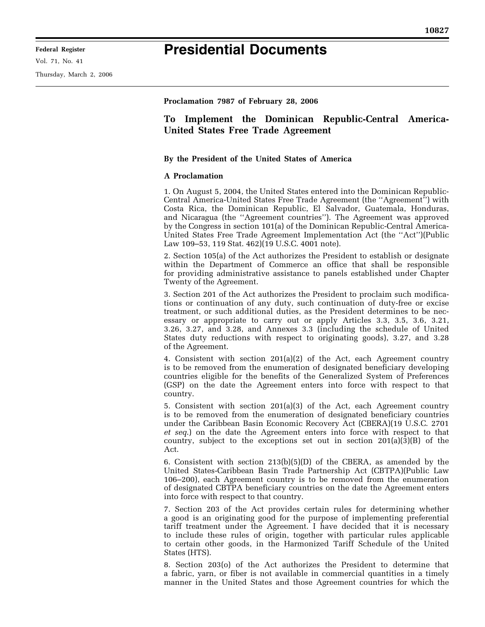## **Presidential Documents**

Vol. 71, No. 41

Thursday, March 2, 2006

**Proclamation 7987 of February 28, 2006** 

## **To Implement the Dominican Republic-Central America-United States Free Trade Agreement**

## **By the President of the United States of America**

## **A Proclamation**

1. On August 5, 2004, the United States entered into the Dominican Republic-Central America-United States Free Trade Agreement (the ''Agreement'') with Costa Rica, the Dominican Republic, El Salvador, Guatemala, Honduras, and Nicaragua (the ''Agreement countries''). The Agreement was approved by the Congress in section 101(a) of the Dominican Republic-Central America-United States Free Trade Agreement Implementation Act (the ''Act'')(Public Law 109–53, 119 Stat. 462)(19 U.S.C. 4001 note).

2. Section 105(a) of the Act authorizes the President to establish or designate within the Department of Commerce an office that shall be responsible for providing administrative assistance to panels established under Chapter Twenty of the Agreement.

3. Section 201 of the Act authorizes the President to proclaim such modifications or continuation of any duty, such continuation of duty-free or excise treatment, or such additional duties, as the President determines to be necessary or appropriate to carry out or apply Articles 3.3, 3.5, 3.6, 3.21, 3.26, 3.27, and 3.28, and Annexes 3.3 (including the schedule of United States duty reductions with respect to originating goods), 3.27, and 3.28 of the Agreement.

4. Consistent with section 201(a)(2) of the Act, each Agreement country is to be removed from the enumeration of designated beneficiary developing countries eligible for the benefits of the Generalized System of Preferences (GSP) on the date the Agreement enters into force with respect to that country.

5. Consistent with section 201(a)(3) of the Act, each Agreement country is to be removed from the enumeration of designated beneficiary countries under the Caribbean Basin Economic Recovery Act (CBERA)(19 U.S.C. 2701 *et seq*.) on the date the Agreement enters into force with respect to that country, subject to the exceptions set out in section  $201(a)(3)(B)$  of the Act.

6. Consistent with section 213(b)(5)(D) of the CBERA, as amended by the United States-Caribbean Basin Trade Partnership Act (CBTPA)(Public Law 106–200), each Agreement country is to be removed from the enumeration of designated CBTPA beneficiary countries on the date the Agreement enters into force with respect to that country.

7. Section 203 of the Act provides certain rules for determining whether a good is an originating good for the purpose of implementing preferential tariff treatment under the Agreement. I have decided that it is necessary to include these rules of origin, together with particular rules applicable to certain other goods, in the Harmonized Tariff Schedule of the United States (HTS).

8. Section 203(o) of the Act authorizes the President to determine that a fabric, yarn, or fiber is not available in commercial quantities in a timely manner in the United States and those Agreement countries for which the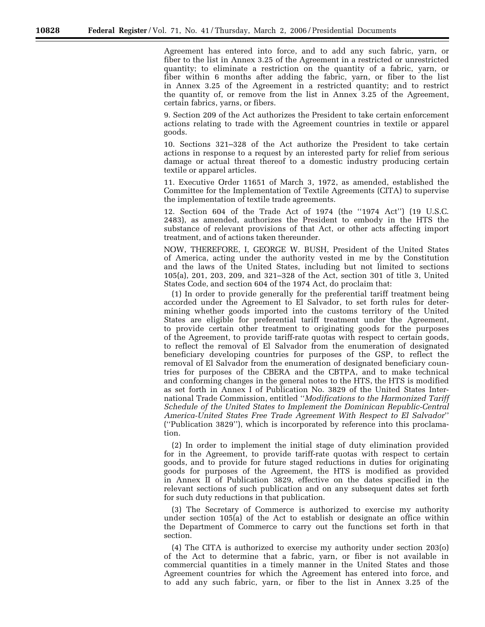Agreement has entered into force, and to add any such fabric, yarn, or fiber to the list in Annex 3.25 of the Agreement in a restricted or unrestricted quantity; to eliminate a restriction on the quantity of a fabric, yarn, or fiber within 6 months after adding the fabric, yarn, or fiber to the list in Annex 3.25 of the Agreement in a restricted quantity; and to restrict the quantity of, or remove from the list in Annex 3.25 of the Agreement, certain fabrics, yarns, or fibers.

9. Section 209 of the Act authorizes the President to take certain enforcement actions relating to trade with the Agreement countries in textile or apparel goods.

10. Sections 321–328 of the Act authorize the President to take certain actions in response to a request by an interested party for relief from serious damage or actual threat thereof to a domestic industry producing certain textile or apparel articles.

11. Executive Order 11651 of March 3, 1972, as amended, established the Committee for the Implementation of Textile Agreements (CITA) to supervise the implementation of textile trade agreements.

12. Section 604 of the Trade Act of 1974 (the ''1974 Act'') (19 U.S.C. 2483), as amended, authorizes the President to embody in the HTS the substance of relevant provisions of that Act, or other acts affecting import treatment, and of actions taken thereunder.

NOW, THEREFORE, I, GEORGE W. BUSH, President of the United States of America, acting under the authority vested in me by the Constitution and the laws of the United States, including but not limited to sections 105(a), 201, 203, 209, and 321–328 of the Act, section 301 of title 3, United States Code, and section 604 of the 1974 Act, do proclaim that:

(1) In order to provide generally for the preferential tariff treatment being accorded under the Agreement to El Salvador, to set forth rules for determining whether goods imported into the customs territory of the United States are eligible for preferential tariff treatment under the Agreement, to provide certain other treatment to originating goods for the purposes of the Agreement, to provide tariff-rate quotas with respect to certain goods, to reflect the removal of El Salvador from the enumeration of designated beneficiary developing countries for purposes of the GSP, to reflect the removal of El Salvador from the enumeration of designated beneficiary countries for purposes of the CBERA and the CBTPA, and to make technical and conforming changes in the general notes to the HTS, the HTS is modified as set forth in Annex I of Publication No. 3829 of the United States International Trade Commission, entitled ''*Modifications to the Harmonized Tariff Schedule of the United States to Implement the Dominican Republic-Central America-United States Free Trade Agreement With Respect to El Salvador*'' (''Publication 3829''), which is incorporated by reference into this proclamation.

(2) In order to implement the initial stage of duty elimination provided for in the Agreement, to provide tariff-rate quotas with respect to certain goods, and to provide for future staged reductions in duties for originating goods for purposes of the Agreement, the HTS is modified as provided in Annex II of Publication 3829, effective on the dates specified in the relevant sections of such publication and on any subsequent dates set forth for such duty reductions in that publication.

(3) The Secretary of Commerce is authorized to exercise my authority under section 105(a) of the Act to establish or designate an office within the Department of Commerce to carry out the functions set forth in that section.

(4) The CITA is authorized to exercise my authority under section 203(o) of the Act to determine that a fabric, yarn, or fiber is not available in commercial quantities in a timely manner in the United States and those Agreement countries for which the Agreement has entered into force, and to add any such fabric, yarn, or fiber to the list in Annex 3.25 of the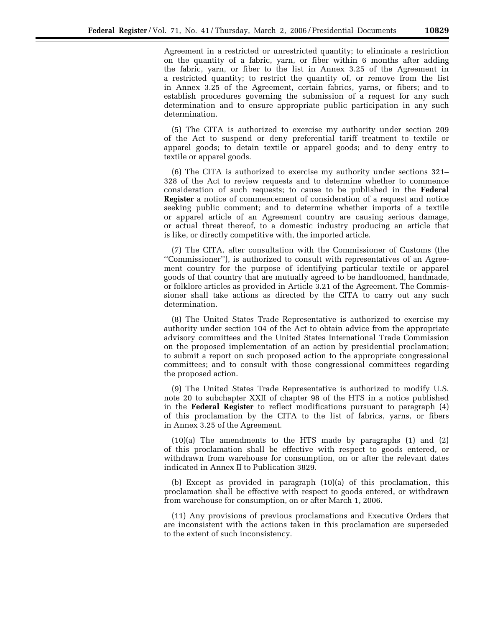Agreement in a restricted or unrestricted quantity; to eliminate a restriction on the quantity of a fabric, yarn, or fiber within 6 months after adding the fabric, yarn, or fiber to the list in Annex 3.25 of the Agreement in a restricted quantity; to restrict the quantity of, or remove from the list in Annex 3.25 of the Agreement, certain fabrics, yarns, or fibers; and to establish procedures governing the submission of a request for any such determination and to ensure appropriate public participation in any such determination.

(5) The CITA is authorized to exercise my authority under section 209 of the Act to suspend or deny preferential tariff treatment to textile or apparel goods; to detain textile or apparel goods; and to deny entry to textile or apparel goods.

(6) The CITA is authorized to exercise my authority under sections 321– 328 of the Act to review requests and to determine whether to commence consideration of such requests; to cause to be published in the **Federal Register** a notice of commencement of consideration of a request and notice seeking public comment; and to determine whether imports of a textile or apparel article of an Agreement country are causing serious damage, or actual threat thereof, to a domestic industry producing an article that is like, or directly competitive with, the imported article.

(7) The CITA, after consultation with the Commissioner of Customs (the ''Commissioner''), is authorized to consult with representatives of an Agreement country for the purpose of identifying particular textile or apparel goods of that country that are mutually agreed to be handloomed, handmade, or folklore articles as provided in Article 3.21 of the Agreement. The Commissioner shall take actions as directed by the CITA to carry out any such determination.

(8) The United States Trade Representative is authorized to exercise my authority under section 104 of the Act to obtain advice from the appropriate advisory committees and the United States International Trade Commission on the proposed implementation of an action by presidential proclamation; to submit a report on such proposed action to the appropriate congressional committees; and to consult with those congressional committees regarding the proposed action.

(9) The United States Trade Representative is authorized to modify U.S. note 20 to subchapter XXII of chapter 98 of the HTS in a notice published in the **Federal Register** to reflect modifications pursuant to paragraph (4) of this proclamation by the CITA to the list of fabrics, yarns, or fibers in Annex 3.25 of the Agreement.

(10)(a) The amendments to the HTS made by paragraphs (1) and (2) of this proclamation shall be effective with respect to goods entered, or withdrawn from warehouse for consumption, on or after the relevant dates indicated in Annex II to Publication 3829.

(b) Except as provided in paragraph (10)(a) of this proclamation, this proclamation shall be effective with respect to goods entered, or withdrawn from warehouse for consumption, on or after March 1, 2006.

(11) Any provisions of previous proclamations and Executive Orders that are inconsistent with the actions taken in this proclamation are superseded to the extent of such inconsistency.